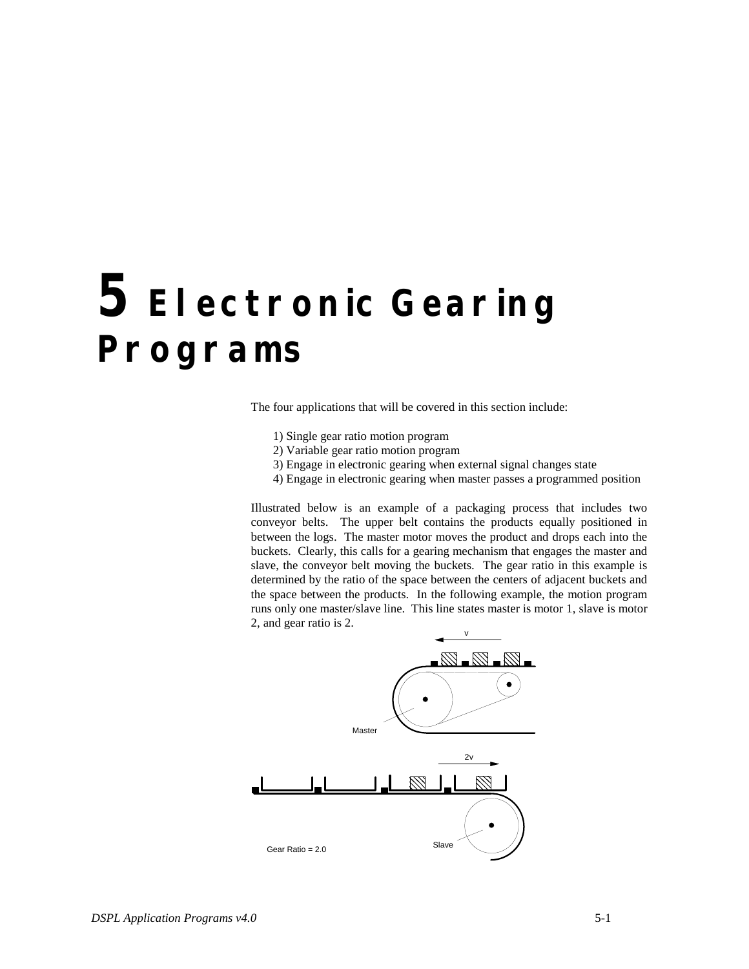The four applications that will be covered in this section include:

- 1) Single gear ratio motion program
- 2) Variable gear ratio motion program
- 3) Engage in electronic gearing when external signal changes state
- 4) Engage in electronic gearing when master passes a programmed position

Illustrated below is an example of a packaging process that includes two conveyor belts. The upper belt contains the products equally positioned in between the logs. The master motor moves the product and drops each into the buckets. Clearly, this calls for a gearing mechanism that engages the master and slave, the conveyor belt moving the buckets. The gear ratio in this example is determined by the ratio of the space between the centers of adjacent buckets and the space between the products. In the following example, the motion program runs only one master/slave line. This line states master is motor 1, slave is motor 2, and gear ratio is 2.

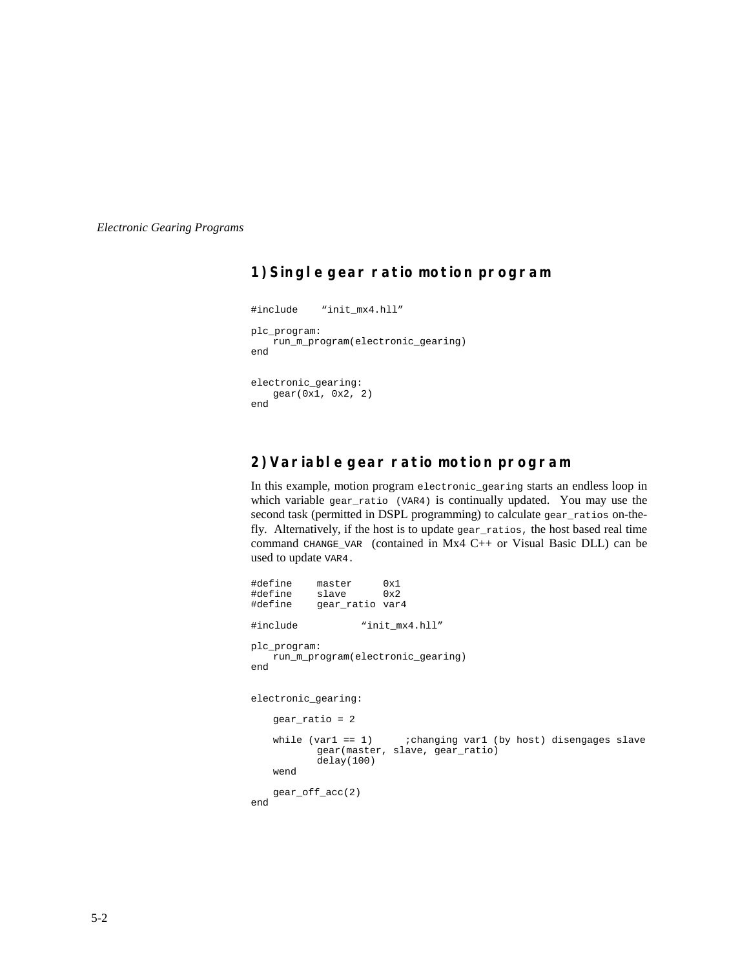## **1) Single gear ratio motion program**

```
#include "init_mx4.hll"
plc_program:
   run_m_program(electronic_gearing)
end
electronic_gearing:
    gear(0x1, 0x2, 2)
end
```
### **2) Variable gear ratio motion program**

In this example, motion program electronic\_gearing starts an endless loop in which variable gear\_ratio (VAR4) is continually updated. You may use the second task (permitted in DSPL programming) to calculate gear\_ratios on-thefly. Alternatively, if the host is to update gear\_ratios, the host based real time command CHANGE\_VAR (contained in Mx4 C++ or Visual Basic DLL) can be used to update VAR4.

|                     |                                                    | #define master 0x1<br>#define slave 0x2<br>#define gear_ratio var4 |                                                                                                   |  |  |  |  |  |
|---------------------|----------------------------------------------------|--------------------------------------------------------------------|---------------------------------------------------------------------------------------------------|--|--|--|--|--|
|                     | #include                                           |                                                                    | "init mx4.hll"                                                                                    |  |  |  |  |  |
| end                 | plc program:<br>run m program (electronic gearing) |                                                                    |                                                                                                   |  |  |  |  |  |
| electronic gearing: |                                                    |                                                                    |                                                                                                   |  |  |  |  |  |
|                     | $qear ratio = 2$                                   |                                                                    |                                                                                                   |  |  |  |  |  |
|                     | wend                                               | delay(100)                                                         | while $\varphi$ == 1) changing varl (by host) disengages slave<br>gear(master, slave, gear ratio) |  |  |  |  |  |
| end                 |                                                    | $qear_of_facc(2)$                                                  |                                                                                                   |  |  |  |  |  |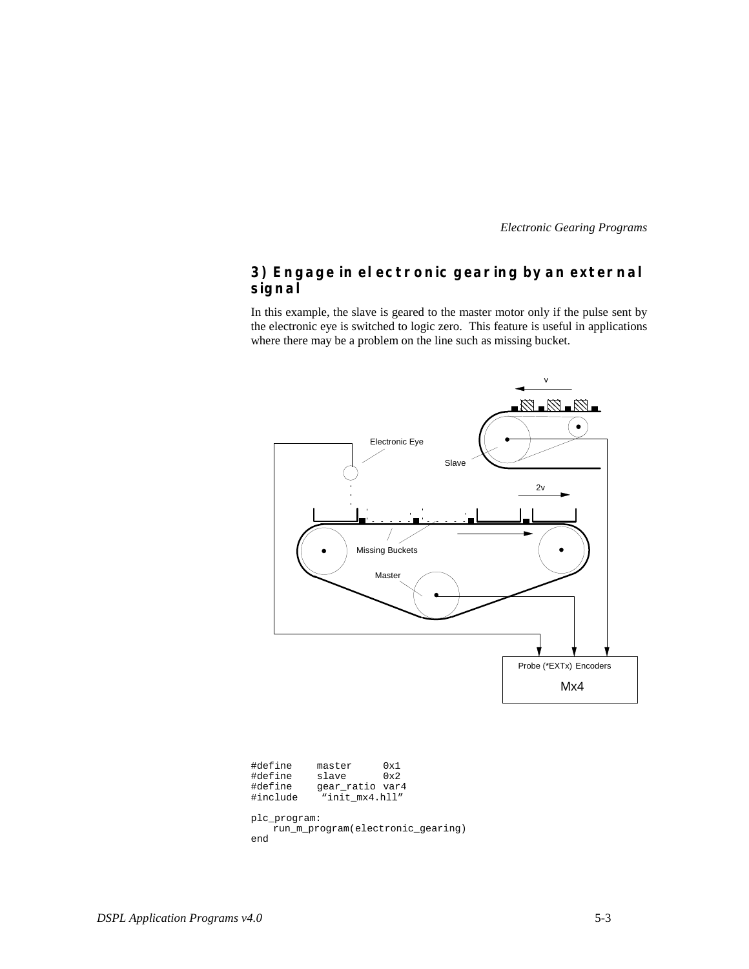### **3) Engage in electronic gearing by an external signal**

In this example, the slave is geared to the master motor only if the pulse sent by the electronic eye is switched to logic zero. This feature is useful in applications where there may be a problem on the line such as missing bucket.



| #define                           | master          | 0x1          |  |  |  |  |  |
|-----------------------------------|-----------------|--------------|--|--|--|--|--|
| #define                           | slave           | $0 \times 2$ |  |  |  |  |  |
| #define                           | gear ratio var4 |              |  |  |  |  |  |
| #include                          | "init mx4.hll"  |              |  |  |  |  |  |
|                                   |                 |              |  |  |  |  |  |
| plc program:                      |                 |              |  |  |  |  |  |
| run_m_program(electronic_gearing) |                 |              |  |  |  |  |  |
| end                               |                 |              |  |  |  |  |  |
|                                   |                 |              |  |  |  |  |  |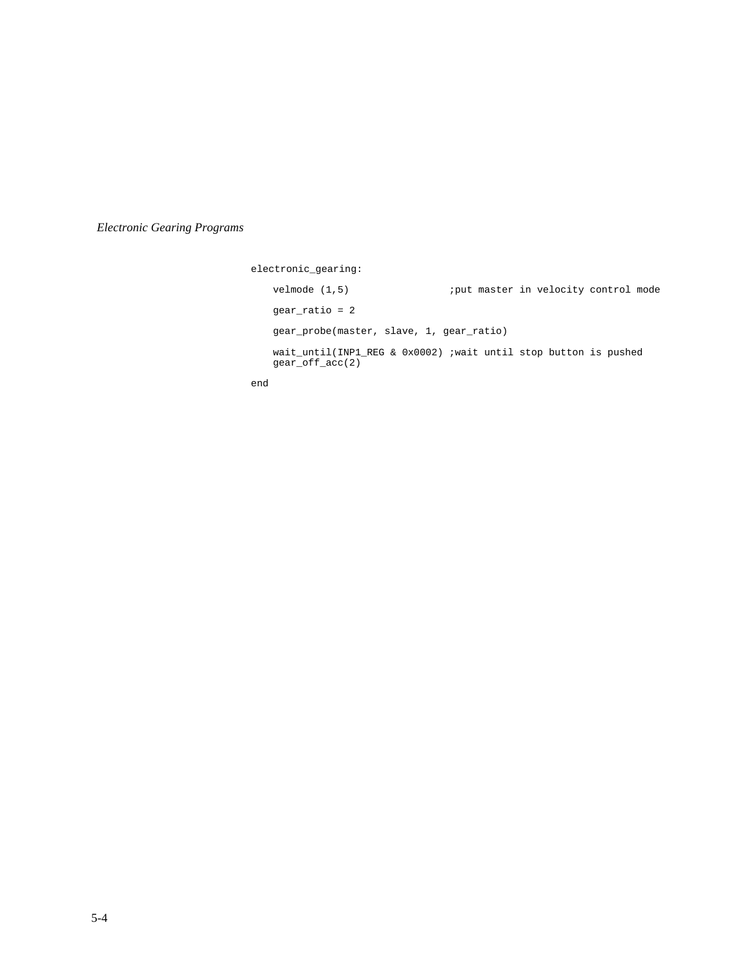electronic\_gearing: velmode (1,5)  $\qquad \qquad$  ; yut master in velocity control mode gear\_ratio = 2 gear\_probe(master, slave, 1, gear\_ratio) wait\_until(INP1\_REG & 0x0002) ;wait until stop button is pushed gear\_off\_acc(2)

end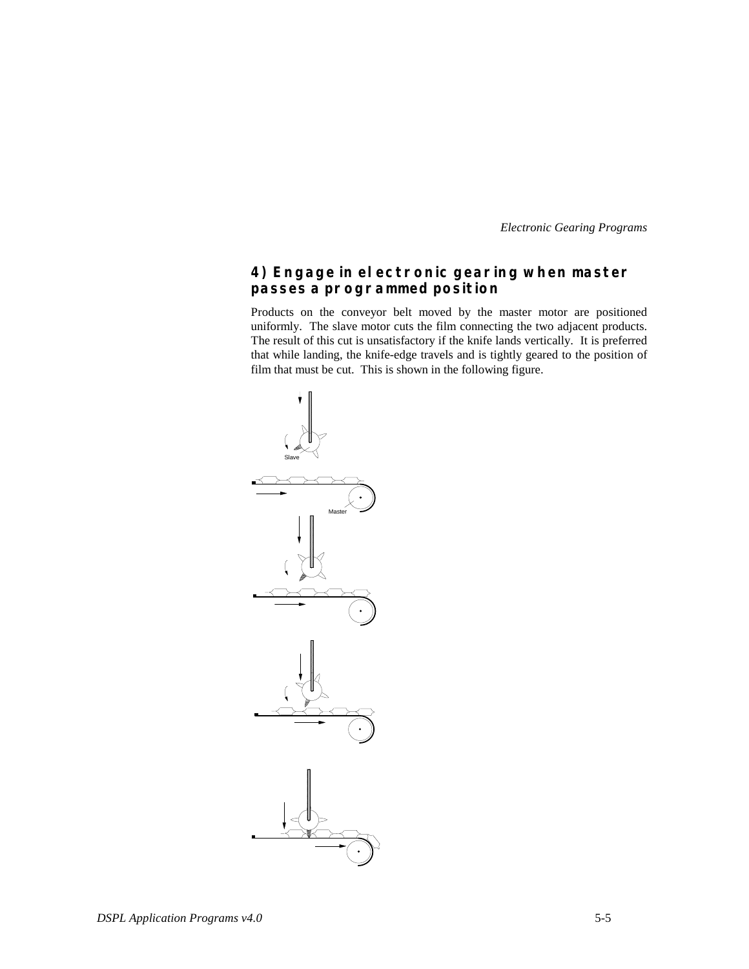#### **4) Engage in electronic gearing when master passes a programmed position**

Products on the conveyor belt moved by the master motor are positioned uniformly. The slave motor cuts the film connecting the two adjacent products. The result of this cut is unsatisfactory if the knife lands vertically. It is preferred that while landing, the knife-edge travels and is tightly geared to the position of film that must be cut. This is shown in the following figure.